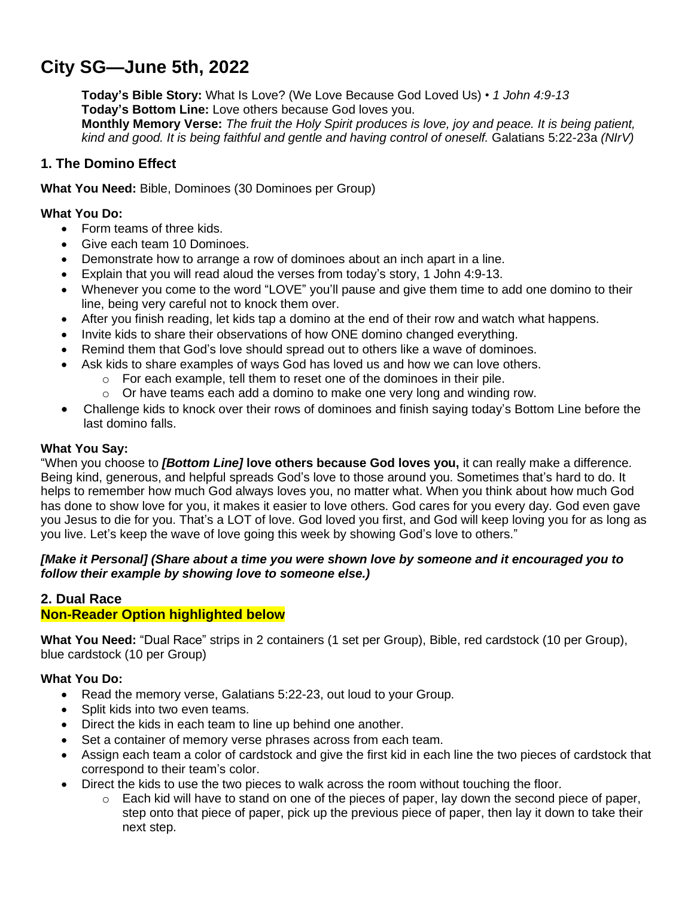# **City SG—June 5th, 2022**

**Today's Bible Story:** What Is Love? (We Love Because God Loved Us) • *1 John 4:9-13* **Today's Bottom Line:** Love others because God loves you. Monthly Memory Verse: The fruit the Holy Spirit produces is love, joy and peace. It is being patient, *kind and good. It is being faithful and gentle and having control of oneself.* Galatians 5:22-23a *(NIrV)*

# **1. The Domino Effect**

**What You Need:** Bible, Dominoes (30 Dominoes per Group)

## **What You Do:**

- Form teams of three kids.
- Give each team 10 Dominoes.
- Demonstrate how to arrange a row of dominoes about an inch apart in a line.
- Explain that you will read aloud the verses from today's story, 1 John 4:9-13.
- Whenever you come to the word "LOVE" you'll pause and give them time to add one domino to their line, being very careful not to knock them over.
- After you finish reading, let kids tap a domino at the end of their row and watch what happens.
- Invite kids to share their observations of how ONE domino changed everything.
- Remind them that God's love should spread out to others like a wave of dominoes.
- Ask kids to share examples of ways God has loved us and how we can love others.
	- o For each example, tell them to reset one of the dominoes in their pile.
	- $\circ$  Or have teams each add a domino to make one very long and winding row.
- Challenge kids to knock over their rows of dominoes and finish saying today's Bottom Line before the last domino falls.

### **What You Say:**

"When you choose to *[Bottom Line]* **love others because God loves you,** it can really make a difference. Being kind, generous, and helpful spreads God's love to those around you. Sometimes that's hard to do. It helps to remember how much God always loves you, no matter what. When you think about how much God has done to show love for you, it makes it easier to love others. God cares for you every day. God even gave you Jesus to die for you. That's a LOT of love. God loved you first, and God will keep loving you for as long as you live. Let's keep the wave of love going this week by showing God's love to others."

## *[Make it Personal] (Share about a time you were shown love by someone and it encouraged you to follow their example by showing love to someone else.)*

## **2. Dual Race Non-Reader Option highlighted below**

**What You Need:** "Dual Race" strips in 2 containers (1 set per Group), Bible, red cardstock (10 per Group), blue cardstock (10 per Group)

# **What You Do:**

- Read the memory verse, Galatians 5:22-23, out loud to your Group.
- Split kids into two even teams.
- Direct the kids in each team to line up behind one another.
- Set a container of memory verse phrases across from each team.
- Assign each team a color of cardstock and give the first kid in each line the two pieces of cardstock that correspond to their team's color.
- Direct the kids to use the two pieces to walk across the room without touching the floor.
	- $\circ$  Each kid will have to stand on one of the pieces of paper, lay down the second piece of paper, step onto that piece of paper, pick up the previous piece of paper, then lay it down to take their next step.